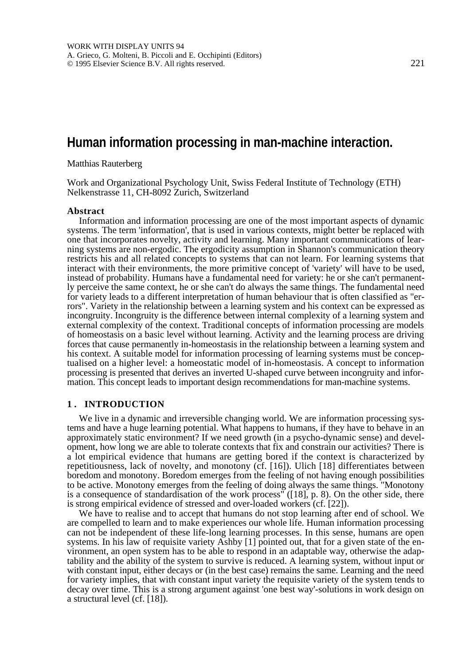# **Human information processing in man-machine interaction.**

Matthias Rauterberg

Work and Organizational Psychology Unit, Swiss Federal Institute of Technology (ETH) Nelkenstrasse 11, CH-8092 Zurich, Switzerland

#### **Abstract**

Information and information processing are one of the most important aspects of dynamic systems. The term 'information', that is used in various contexts, might better be replaced with one that incorporates novelty, activity and learning. Many important communications of learning systems are non-ergodic. The ergodicity assumption in Shannon's communication theory restricts his and all related concepts to systems that can not learn. For learning systems that interact with their environments, the more primitive concept of 'variety' will have to be used, instead of probability. Humans have a fundamental need for variety: he or she can't permanently perceive the same context, he or she can't do always the same things. The fundamental need for variety leads to a different interpretation of human behaviour that is often classified as "errors". Variety in the relationship between a learning system and his context can be expressed as incongruity. Incongruity is the difference between internal complexity of a learning system and external complexity of the context. Traditional concepts of information processing are models of homeostasis on a basic level without learning. Activity and the learning process are driving forces that cause permanently in-homeostasis in the relationship between a learning system and his context. A suitable model for information processing of learning systems must be conceptualised on a higher level: a homeostatic model of in-homeostasis. A concept to information processing is presented that derives an inverted U-shaped curve between incongruity and information. This concept leads to important design recommendations for man-machine systems.

### **1 . INTRODUCTION**

We live in a dynamic and irreversible changing world. We are information processing systems and have a huge learning potential. What happens to humans, if they have to behave in an approximately static environment? If we need growth (in a psycho-dynamic sense) and development, how long we are able to tolerate contexts that fix and constrain our activities? There is a lot empirical evidence that humans are getting bored if the context is characterized by repetitiousness, lack of novelty, and monotony (cf. [16]). Ulich [18] differentiates between boredom and monotony. Boredom emerges from the feeling of not having enough possibilities to be active. Monotony emerges from the feeling of doing always the same things. "Monotony is a consequence of standardisation of the work process" ([18], p. 8). On the other side, there is strong empirical evidence of stressed and over-loaded workers (cf. [22]).

We have to realise and to accept that humans do not stop learning after end of school. We are compelled to learn and to make experiences our whole life. Human information processing can not be independent of these life-long learning processes. In this sense, humans are open systems. In his law of requisite variety Ashby [1] pointed out, that for a given state of the environment, an open system has to be able to respond in an adaptable way, otherwise the adaptability and the ability of the system to survive is reduced. A learning system, without input or with constant input, either decays or (in the best case) remains the same. Learning and the need for variety implies, that with constant input variety the requisite variety of the system tends to decay over time. This is a strong argument against 'one best way'-solutions in work design on a structural level (cf. [18]).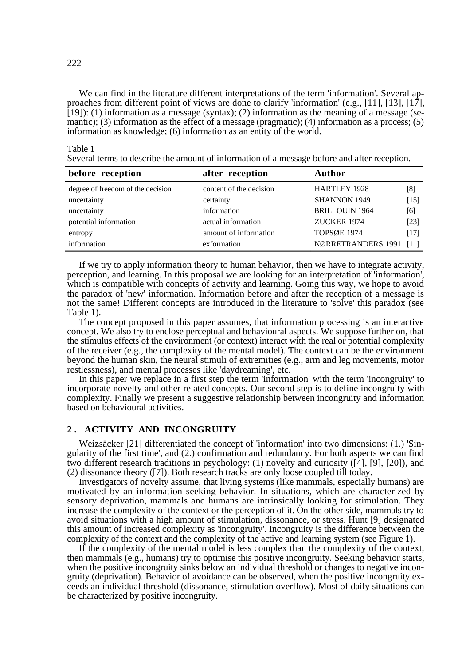We can find in the literature different interpretations of the term 'information'. Several approaches from different point of views are done to clarify 'information' (e.g., [11], [13], [17], [19]): (1) information as a message (syntax); (2) information as the meaning of a message (semantic); (3) information as the effect of a message (pragmatic); (4) information as a process; (5) information as knowledge; (6) information as an entity of the world.

Table 1

Several terms to describe the amount of information of a message before and after reception.

| before reception                  | after reception         | <b>Author</b>           |        |
|-----------------------------------|-------------------------|-------------------------|--------|
| degree of freedom of the decision | content of the decision | <b>HARTLEY 1928</b>     | [8]    |
| uncertainty                       | certainty               | <b>SHANNON 1949</b>     | $[15]$ |
| uncertainty                       | information             | <b>BRILLOUIN 1964</b>   | [6]    |
| potential information             | actual information      | ZUCKER 1974             | [23]   |
| entropy                           | amount of information   | <b>TOPSØE 1974</b>      | [17]   |
| information                       | exformation             | NØRRETRANDERS 1991 [11] |        |

If we try to apply information theory to human behavior, then we have to integrate activity, perception, and learning. In this proposal we are looking for an interpretation of 'information', which is compatible with concepts of activity and learning. Going this way, we hope to avoid the paradox of 'new' information. Information before and after the reception of a message is not the same! Different concepts are introduced in the literature to 'solve' this paradox (see Table 1).

The concept proposed in this paper assumes, that information processing is an interactive concept. We also try to enclose perceptual and behavioural aspects. We suppose further on, that the stimulus effects of the environment (or context) interact with the real or potential complexity of the receiver (e.g., the complexity of the mental model). The context can be the environment beyond the human skin, the neural stimuli of extremities (e.g., arm and leg movements, motor restlessness), and mental processes like 'daydreaming', etc.

In this paper we replace in a first step the term 'information' with the term 'incongruity' to incorporate novelty and other related concepts. Our second step is to define incongruity with complexity. Finally we present a suggestive relationship between incongruity and information based on behavioural activities.

# **2 . ACTIVITY AND INCONGRUITY**

Weizsäcker [21] differentiated the concept of 'information' into two dimensions: (1.) 'Singularity of the first time', and (2.) confirmation and redundancy. For both aspects we can find two different research traditions in psychology: (1) novelty and curiosity ([4], [9], [20]), and (2) dissonance theory ([7]). Both research tracks are only loose coupled till today.

Investigators of novelty assume, that living systems (like mammals, especially humans) are motivated by an information seeking behavior. In situations, which are characterized by sensory deprivation, mammals and humans are intrinsically looking for stimulation. They increase the complexity of the context or the perception of it. On the other side, mammals try to avoid situations with a high amount of stimulation, dissonance, or stress. Hunt [9] designated this amount of increased complexity as 'incongruity'. Incongruity is the difference between the complexity of the context and the complexity of the active and learning system (see Figure 1).

If the complexity of the mental model is less complex than the complexity of the context, then mammals (e.g., humans) try to optimise this positive incongruity. Seeking behavior starts, when the positive incongruity sinks below an individual threshold or changes to negative incongruity (deprivation). Behavior of avoidance can be observed, when the positive incongruity exceeds an individual threshold (dissonance, stimulation overflow). Most of daily situations can be characterized by positive incongruity.

222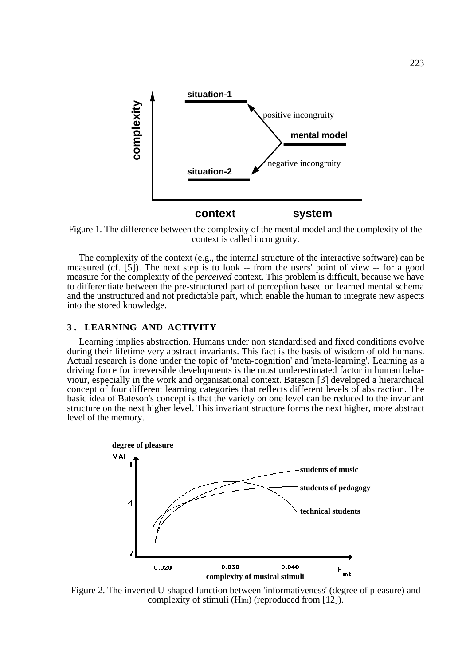

Figure 1. The difference between the complexity of the mental model and the complexity of the context is called incongruity.

The complexity of the context (e.g., the internal structure of the interactive software) can be measured (cf. [5]). The next step is to look -- from the users' point of view -- for a good measure for the complexity of the *perceived* context. This problem is difficult, because we have to differentiate between the pre-structured part of perception based on learned mental schema and the unstructured and not predictable part, which enable the human to integrate new aspects into the stored knowledge.

### **3 . LEARNING AND ACTIVITY**

Learning implies abstraction. Humans under non standardised and fixed conditions evolve during their lifetime very abstract invariants. This fact is the basis of wisdom of old humans. Actual research is done under the topic of 'meta-cognition' and 'meta-learning'. Learning as a driving force for irreversible developments is the most underestimated factor in human behaviour, especially in the work and organisational context. Bateson [3] developed a hierarchical concept of four different learning categories that reflects different levels of abstraction. The basic idea of Bateson's concept is that the variety on one level can be reduced to the invariant structure on the next higher level. This invariant structure forms the next higher, more abstract level of the memory.



Figure 2. The inverted U-shaped function between 'informativeness' (degree of pleasure) and complexity of stimuli (Hint) (reproduced from [12]).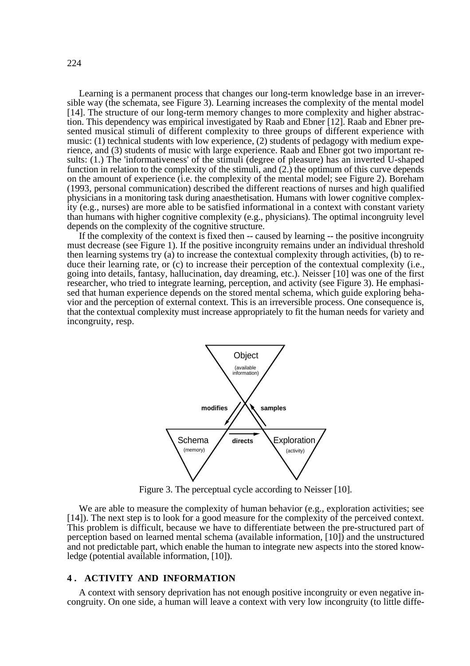Learning is a permanent process that changes our long-term knowledge base in an irreversible way (the schemata, see Figure 3). Learning increases the complexity of the mental model [14]. The structure of our long-term memory changes to more complexity and higher abstraction. This dependency was empirical investigated by Raab and Ebner [12]. Raab and Ebner presented musical stimuli of different complexity to three groups of different experience with music: (1) technical students with low experience, (2) students of pedagogy with medium experience, and (3) students of music with large experience. Raab and Ebner got two important results: (1.) The 'informativeness' of the stimuli (degree of pleasure) has an inverted U-shaped function in relation to the complexity of the stimuli, and (2.) the optimum of this curve depends on the amount of experience (i.e. the complexity of the mental model; see Figure 2). Boreham (1993, personal communication) described the different reactions of nurses and high qualified physicians in a monitoring task during anaesthetisation. Humans with lower cognitive complexity (e.g., nurses) are more able to be satisfied informational in a context with constant variety than humans with higher cognitive complexity (e.g., physicians). The optimal incongruity level depends on the complexity of the cognitive structure.

If the complexity of the context is fixed then -- caused by learning -- the positive incongruity must decrease (see Figure 1). If the positive incongruity remains under an individual threshold then learning systems try (a) to increase the contextual complexity through activities, (b) to reduce their learning rate, or (c) to increase their perception of the contextual complexity (i.e., going into details, fantasy, hallucination, day dreaming, etc.). Neisser [10] was one of the first researcher, who tried to integrate learning, perception, and activity (see Figure 3). He emphasised that human experience depends on the stored mental schema, which guide exploring behavior and the perception of external context. This is an irreversible process. One consequence is, that the contextual complexity must increase appropriately to fit the human needs for variety and incongruity, resp.



Figure 3. The perceptual cycle according to Neisser [10].

We are able to measure the complexity of human behavior (e.g., exploration activities; see [14]). The next step is to look for a good measure for the complexity of the perceived context. This problem is difficult, because we have to differentiate between the pre-structured part of perception based on learned mental schema (available information, [10]) and the unstructured and not predictable part, which enable the human to integrate new aspects into the stored knowledge (potential available information, [10]).

## **4 . ACTIVITY AND INFORMATION**

A context with sensory deprivation has not enough positive incongruity or even negative incongruity. On one side, a human will leave a context with very low incongruity (to little diffe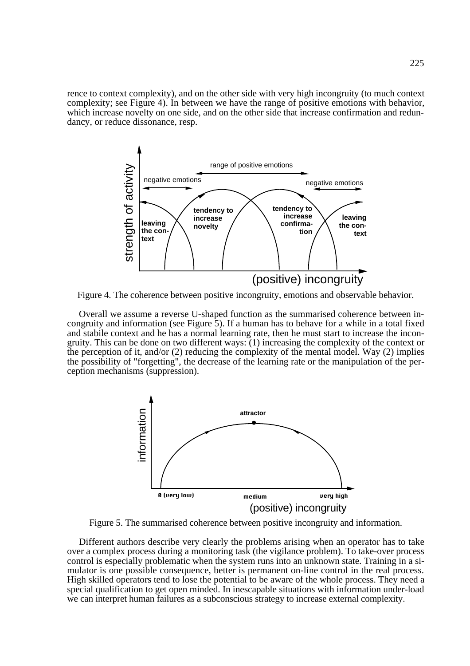rence to context complexity), and on the other side with very high incongruity (to much context complexity; see Figure 4). In between we have the range of positive emotions with behavior, which increase novelty on one side, and on the other side that increase confirmation and redundancy, or reduce dissonance, resp.



Figure 4. The coherence between positive incongruity, emotions and observable behavior.

Overall we assume a reverse U-shaped function as the summarised coherence between incongruity and information (see Figure 5). If a human has to behave for a while in a total fixed and stabile context and he has a normal learning rate, then he must start to increase the incongruity. This can be done on two different ways: (1) increasing the complexity of the context or the perception of it, and/or  $(2)$  reducing the complexity of the mental model. Way  $(2)$  implies the possibility of "forgetting", the decrease of the learning rate or the manipulation of the perception mechanisms (suppression).



Figure 5. The summarised coherence between positive incongruity and information.

Different authors describe very clearly the problems arising when an operator has to take over a complex process during a monitoring task (the vigilance problem). To take-over process control is especially problematic when the system runs into an unknown state. Training in a simulator is one possible consequence, better is permanent on-line control in the real process. High skilled operators tend to lose the potential to be aware of the whole process. They need a special qualification to get open minded. In inescapable situations with information under-load we can interpret human failures as a subconscious strategy to increase external complexity.